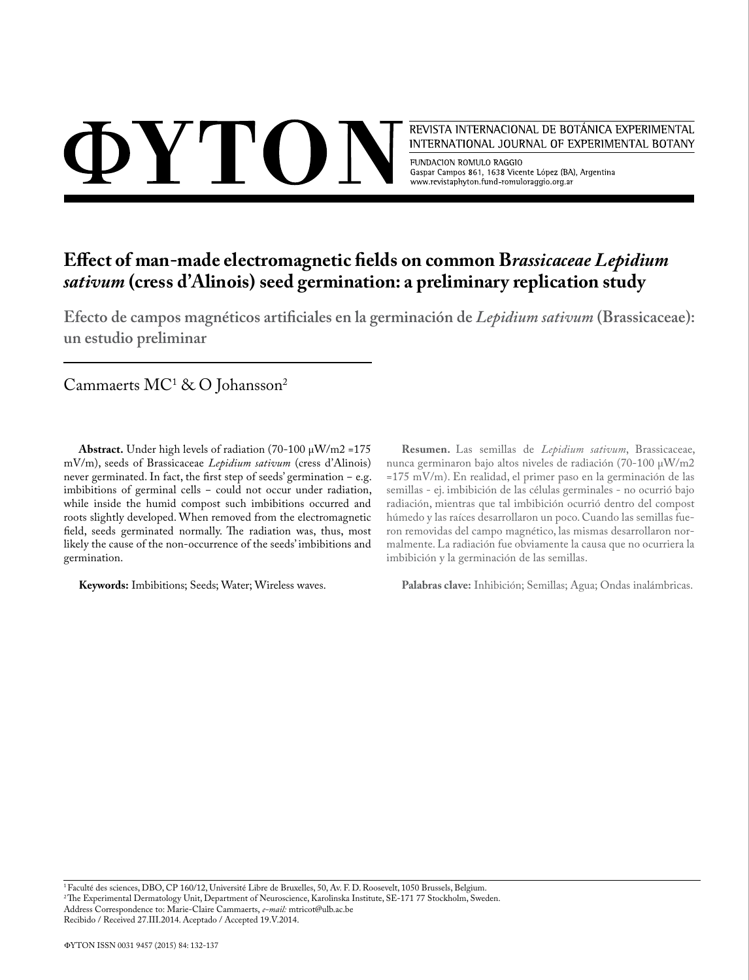$\Delta$  Y'I'()  $\Gamma$ 

REVISTA INTERNACIONAL DE BOTÁNICA EXPERIMENTAL INTERNATIONAL JOURNAL OF EXPERIMENTAL BOTANY

FUNDACION ROMULO RAGGIO Gaspar Campos 861, 1638 Vicente López (BA), Argentina www.revistaphyton.fund-romuloraggio.org.ar

# **Effect of man-made electromagnetic fields on common B***rassicaceae Lepidium sativum* **(cress d'Alinois) seed germination: a preliminary replication study**

**Efecto de campos magnéticos artificiales en la germinación de** *Lepidium sativum* **(Brassicaceae): un estudio preliminar**

Cammaerts  $MC^1 \& O$  Johansson<sup>2</sup>

**Abstract.** Under high levels of radiation  $(70-100 \mu W/m2 = 175$ mV/m), seeds of Brassicaceae *Lepidium sativum* (cress d'Alinois) never germinated. In fact, the first step of seeds' germination - e.g. imbibitions of germinal cells - could not occur under radiation, while inside the humid compost such imbibitions occurred and roots slightly developed. When removed from the electromagnetic field, seeds germinated normally. The radiation was, thus, most likely the cause of the non-occurrence of the seeds' imbibitions and germination.

**Keywords:** Imbibitions; Seeds; Water; Wireless waves.

**Resumen.** Las semillas de *Lepidium sativum*, Brassicaceae, nunca germinaron bajo altos niveles de radiación (70-100 µW/m2 =175 mV/m). En realidad, el primer paso en la germinación de las semillas - ej. imbibición de las células germinales - no ocurrió bajo radiación, mientras que tal imbibición ocurrió dentro del compost húmedo y las raíces desarrollaron un poco. Cuando las semillas fueron removidas del campo magnético, las mismas desarrollaron normalmente. La radiación fue obviamente la causa que no ocurriera la imbibición y la germinación de las semillas.

**Palabras clave:** Inhibición; Semillas; Agua; Ondas inalámbricas.

1 Faculté des sciences, DBO, CP 160/12, Université Libre de Bruxelles, 50, Av. F. D. Roosevelt, 1050 Brussels, Belgium. 2 The Experimental Dermatology Unit, Department of Neuroscience, Karolinska Institute, SE-171 77 Stockholm, Sweden. Address Correspondence to: Marie-Claire Cammaerts, *e-mail:* mtricot@ulb.ac.be Recibido / Received 27.III.2014. Aceptado / Accepted 19.V.2014.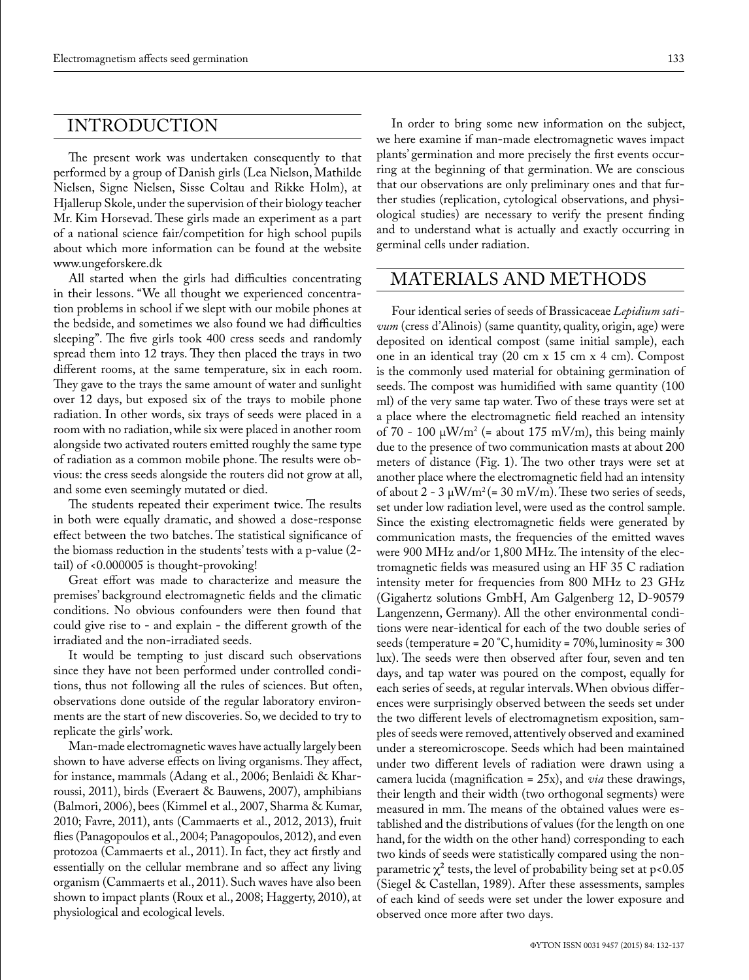# INTRODUCTION

The present work was undertaken consequently to that performed by a group of Danish girls (Lea Nielson, Mathilde Nielsen, Signe Nielsen, Sisse Coltau and Rikke Holm), at Hjallerup Skole, under the supervision of their biology teacher Mr. Kim Horsevad. These girls made an experiment as a part of a national science fair/competition for high school pupils about which more information can be found at the website www.ungeforskere.dk

All started when the girls had difficulties concentrating in their lessons. "We all thought we experienced concentration problems in school if we slept with our mobile phones at the bedside, and sometimes we also found we had difficulties sleeping". The five girls took 400 cress seeds and randomly spread them into 12 trays. They then placed the trays in two different rooms, at the same temperature, six in each room. They gave to the trays the same amount of water and sunlight over 12 days, but exposed six of the trays to mobile phone radiation. In other words, six trays of seeds were placed in a room with no radiation, while six were placed in another room alongside two activated routers emitted roughly the same type of radiation as a common mobile phone. The results were obvious: the cress seeds alongside the routers did not grow at all, and some even seemingly mutated or died.

The students repeated their experiment twice. The results in both were equally dramatic, and showed a dose-response effect between the two batches. The statistical significance of the biomass reduction in the students' tests with a p-value (2 tail) of <0.000005 is thought-provoking!

Great effort was made to characterize and measure the premises' background electromagnetic fields and the climatic conditions. No obvious confounders were then found that could give rise to - and explain - the different growth of the irradiated and the non-irradiated seeds.

It would be tempting to just discard such observations since they have not been performed under controlled conditions, thus not following all the rules of sciences. But often, observations done outside of the regular laboratory environments are the start of new discoveries. So, we decided to try to replicate the girls' work.

Man-made electromagnetic waves have actually largely been shown to have adverse effects on living organisms. They affect, for instance, mammals (Adang et al., 2006; Benlaidi & Kharroussi, 2011), birds (Everaert & Bauwens, 2007), amphibians (Balmori, 2006), bees (Kimmel et al., 2007, Sharma & Kumar, 2010; Favre, 2011), ants (Cammaerts et al., 2012, 2013), fruit flies (Panagopoulos et al., 2004; Panagopoulos, 2012), and even protozoa (Cammaerts et al., 2011). In fact, they act firstly and essentially on the cellular membrane and so affect any living organism (Cammaerts et al., 2011). Such waves have also been shown to impact plants (Roux et al., 2008; Haggerty, 2010), at physiological and ecological levels.

In order to bring some new information on the subject, we here examine if man-made electromagnetic waves impact plants' germination and more precisely the first events occurring at the beginning of that germination. We are conscious that our observations are only preliminary ones and that further studies (replication, cytological observations, and physiological studies) are necessary to verify the present finding and to understand what is actually and exactly occurring in germinal cells under radiation.

# MATERIALS AND METHODS

Four identical series of seeds of Brassicaceae *Lepidium sativum* (cress d'Alinois) (same quantity, quality, origin, age) were deposited on identical compost (same initial sample), each one in an identical tray (20 cm x 15 cm x 4 cm). Compost is the commonly used material for obtaining germination of seeds. The compost was humidified with same quantity (100 ml) of the very same tap water. Two of these trays were set at a place where the electromagnetic field reached an intensity of 70 - 100  $\mu$ W/m<sup>2</sup> (= about 175 mV/m), this being mainly due to the presence of two communication masts at about 200 meters of distance (Fig. 1). The two other trays were set at another place where the electromagnetic field had an intensity of about  $2 - 3 \mu W/m^2 (= 30 \text{ mV/m})$ . These two series of seeds, set under low radiation level, were used as the control sample. Since the existing electromagnetic fields were generated by communication masts, the frequencies of the emitted waves were 900 MHz and/or 1,800 MHz. The intensity of the electromagnetic fields was measured using an HF 35 C radiation intensity meter for frequencies from 800 MHz to 23 GHz (Gigahertz solutions GmbH, Am Galgenberg 12, D-90579 Langenzenn, Germany). All the other environmental conditions were near-identical for each of the two double series of seeds (temperature =  $20^{\circ}$ C, humidity = 70%, luminosity  $\approx 300$ lux). The seeds were then observed after four, seven and ten days, and tap water was poured on the compost, equally for each series of seeds, at regular intervals. When obvious differences were surprisingly observed between the seeds set under the two different levels of electromagnetism exposition, samples of seeds were removed, attentively observed and examined under a stereomicroscope. Seeds which had been maintained under two different levels of radiation were drawn using a camera lucida (magnification = 25x), and *via* these drawings, their length and their width (two orthogonal segments) were measured in mm. The means of the obtained values were established and the distributions of values (for the length on one hand, for the width on the other hand) corresponding to each two kinds of seeds were statistically compared using the nonparametric  $\chi^2$  tests, the level of probability being set at p<0.05 (Siegel & Castellan, 1989). After these assessments, samples of each kind of seeds were set under the lower exposure and observed once more after two days.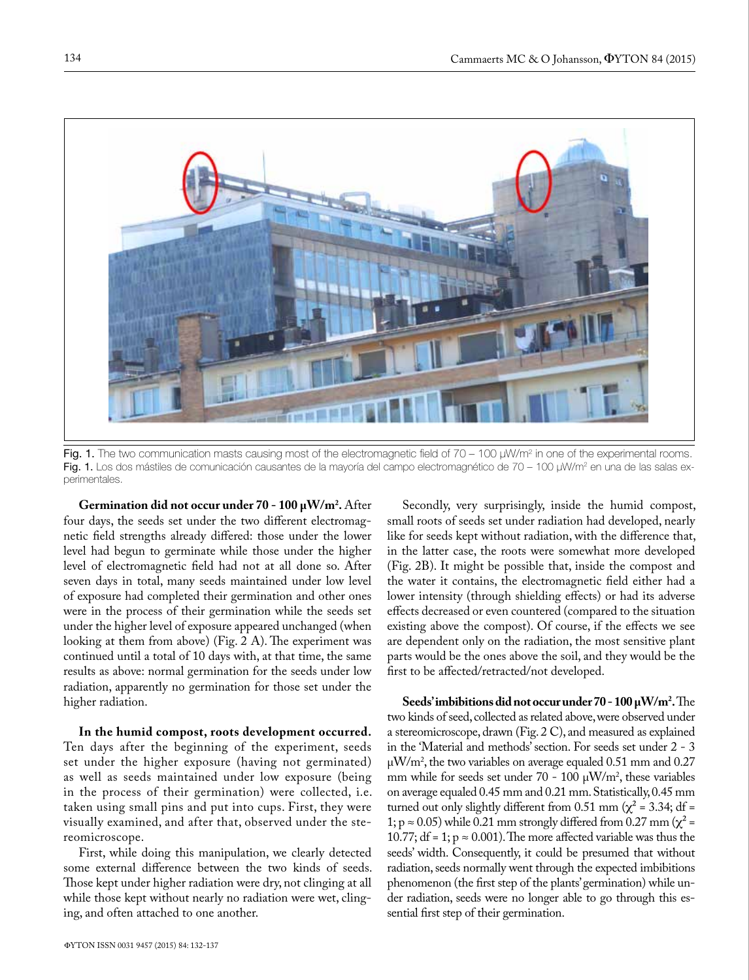

Fig. 1. The two communication masts causing most of the electromagnetic field of 70 – 100  $\mu$ W/m<sup>2</sup> in one of the experimental rooms. Fig. 1. Los dos mástiles de comunicación causantes de la mayoría del campo electromagnético de 70 – 100 µW/m² en una de las salas experimentales.

**Germination did not occur under 70 - 100 µW/m2 .** After four days, the seeds set under the two different electromagnetic field strengths already differed: those under the lower level had begun to germinate while those under the higher level of electromagnetic field had not at all done so. After seven days in total, many seeds maintained under low level of exposure had completed their germination and other ones were in the process of their germination while the seeds set under the higher level of exposure appeared unchanged (when looking at them from above) (Fig. 2 A). The experiment was continued until a total of 10 days with, at that time, the same results as above: normal germination for the seeds under low radiation, apparently no germination for those set under the higher radiation.

**In the humid compost, roots development occurred.** Ten days after the beginning of the experiment, seeds set under the higher exposure (having not germinated) as well as seeds maintained under low exposure (being in the process of their germination) were collected, i.e. taken using small pins and put into cups. First, they were visually examined, and after that, observed under the stereomicroscope.

First, while doing this manipulation, we clearly detected some external difference between the two kinds of seeds. Those kept under higher radiation were dry, not clinging at all while those kept without nearly no radiation were wet, clinging, and often attached to one another.

Secondly, very surprisingly, inside the humid compost, small roots of seeds set under radiation had developed, nearly like for seeds kept without radiation, with the difference that, in the latter case, the roots were somewhat more developed (Fig. 2B). It might be possible that, inside the compost and the water it contains, the electromagnetic field either had a lower intensity (through shielding effects) or had its adverse effects decreased or even countered (compared to the situation existing above the compost). Of course, if the effects we see are dependent only on the radiation, the most sensitive plant parts would be the ones above the soil, and they would be the first to be affected/retracted/not developed.

**Seeds' imbibitions did not occur under 70 - 100 µW/m2 .** The two kinds of seed, collected as related above, were observed under a stereomicroscope, drawn (Fig. 2 C), and measured as explained in the 'Material and methods' section. For seeds set under 2 - 3 µW/m2 , the two variables on average equaled 0.51 mm and 0.27 mm while for seeds set under  $70 - 100 \mu W/m^2$ , these variables on average equaled 0.45 mm and 0.21 mm. Statistically, 0.45 mm turned out only slightly different from 0.51 mm ( $\chi^2$  = 3.34; df = 1;  $p \approx 0.05$ ) while 0.21 mm strongly differed from 0.27 mm ( $\chi^2$  = 10.77; df = 1;  $p \approx 0.001$ ). The more affected variable was thus the seeds' width. Consequently, it could be presumed that without radiation, seeds normally went through the expected imbibitions phenomenon (the first step of the plants' germination) while under radiation, seeds were no longer able to go through this essential first step of their germination.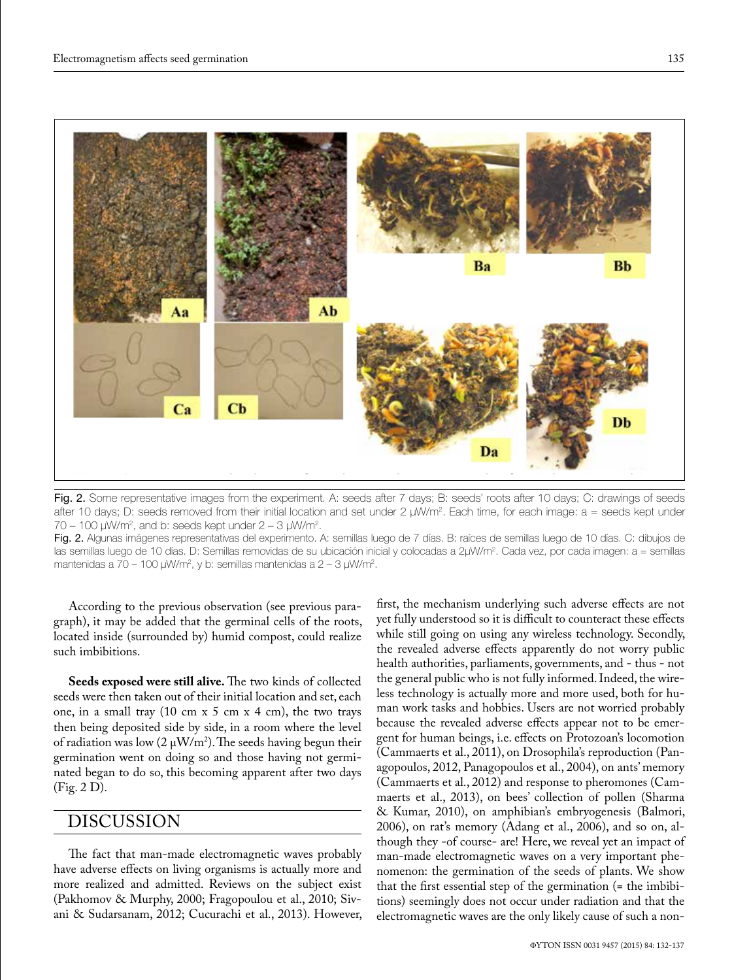

Fig. 2. Some representative images from the experiment. A: seeds after 7 days; B: seeds' roots after 10 days; C: drawings of seeds after 10 days; D: seeds removed from their initial location and set under 2 µW/m². Each time, for each image: a = seeds kept under  $70 - 100$   $\mu$ W/m<sup>2</sup>, and b: seeds kept under  $2 - 3$   $\mu$ W/m<sup>2</sup>.

Fig. 2. Algunas imágenes representativas del experimento. A: semillas luego de 7 días. B: raíces de semillas luego de 10 días. C: dibujos de las semillas luego de 10 días. D: Semillas removidas de su ubicación inicial y colocadas a 2µW/m². Cada vez, por cada imagen: a = semillas mantenidas a 70 – 100 µW/m<sup>2</sup>, y b: semillas mantenidas a 2 – 3 µW/m<sup>2</sup>.

According to the previous observation (see previous paragraph), it may be added that the germinal cells of the roots, located inside (surrounded by) humid compost, could realize such imbibitions.

**Seeds exposed were still alive.** The two kinds of collected seeds were then taken out of their initial location and set, each one, in a small tray  $(10 \text{ cm } x 5 \text{ cm } x 4 \text{ cm})$ , the two trays then being deposited side by side, in a room where the level of radiation was low (2  $\mu$ W/m<sup>2</sup>). The seeds having begun their germination went on doing so and those having not germinated began to do so, this becoming apparent after two days (Fig. 2 D).

# DISCUSSION

The fact that man-made electromagnetic waves probably have adverse effects on living organisms is actually more and more realized and admitted. Reviews on the subject exist (Pakhomov & Murphy, 2000; Fragopoulou et al., 2010; Sivani & Sudarsanam, 2012; Cucurachi et al., 2013). However, first, the mechanism underlying such adverse effects are not yet fully understood so it is difficult to counteract these effects while still going on using any wireless technology. Secondly, the revealed adverse effects apparently do not worry public health authorities, parliaments, governments, and - thus - not the general public who is not fully informed. Indeed, the wireless technology is actually more and more used, both for human work tasks and hobbies. Users are not worried probably because the revealed adverse effects appear not to be emergent for human beings, i.e. effects on Protozoan's locomotion (Cammaerts et al., 2011), on Drosophila's reproduction (Panagopoulos, 2012, Panagopoulos et al., 2004), on ants' memory (Cammaerts et al., 2012) and response to pheromones (Cammaerts et al., 2013), on bees' collection of pollen (Sharma & Kumar, 2010), on amphibian's embryogenesis (Balmori, 2006), on rat's memory (Adang et al., 2006), and so on, although they -of course- are! Here, we reveal yet an impact of man-made electromagnetic waves on a very important phenomenon: the germination of the seeds of plants. We show that the first essential step of the germination (= the imbibitions) seemingly does not occur under radiation and that the electromagnetic waves are the only likely cause of such a non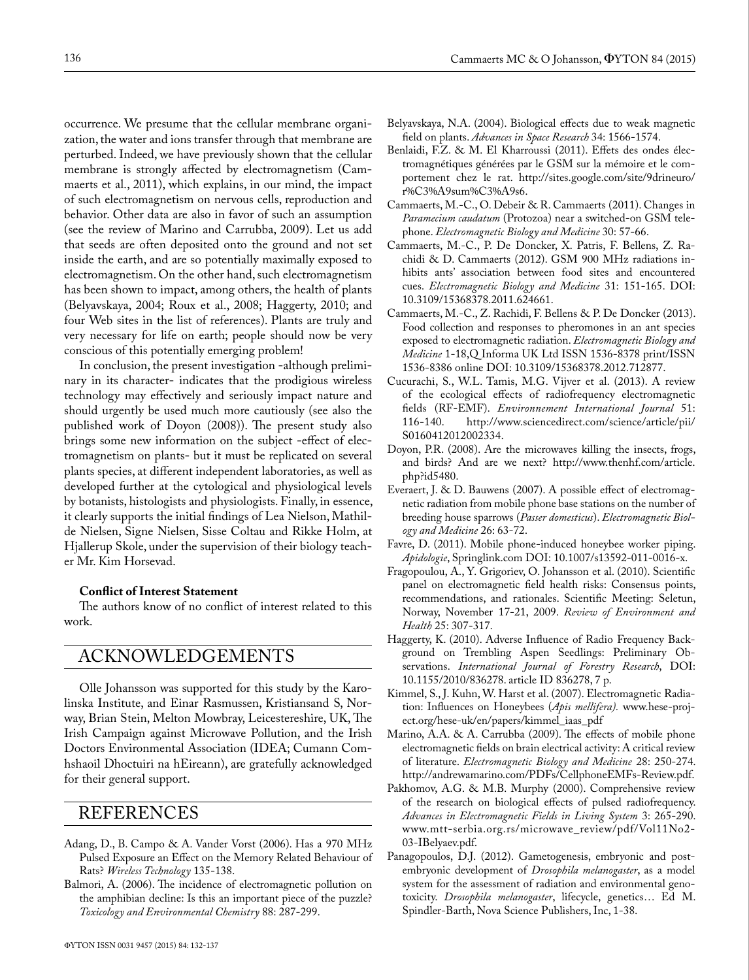occurrence. We presume that the cellular membrane organization, the water and ions transfer through that membrane are perturbed. Indeed, we have previously shown that the cellular membrane is strongly affected by electromagnetism (Cammaerts et al., 2011), which explains, in our mind, the impact of such electromagnetism on nervous cells, reproduction and behavior. Other data are also in favor of such an assumption (see the review of Marino and Carrubba, 2009). Let us add that seeds are often deposited onto the ground and not set inside the earth, and are so potentially maximally exposed to electromagnetism. On the other hand, such electromagnetism has been shown to impact, among others, the health of plants (Belyavskaya, 2004; Roux et al., 2008; Haggerty, 2010; and four Web sites in the list of references). Plants are truly and very necessary for life on earth; people should now be very conscious of this potentially emerging problem!

In conclusion, the present investigation -although preliminary in its character- indicates that the prodigious wireless technology may effectively and seriously impact nature and should urgently be used much more cautiously (see also the published work of Doyon (2008)). The present study also brings some new information on the subject -effect of electromagnetism on plants- but it must be replicated on several plants species, at different independent laboratories, as well as developed further at the cytological and physiological levels by botanists, histologists and physiologists. Finally, in essence, it clearly supports the initial findings of Lea Nielson, Mathilde Nielsen, Signe Nielsen, Sisse Coltau and Rikke Holm, at Hjallerup Skole, under the supervision of their biology teacher Mr. Kim Horsevad.

#### **Conflict of Interest Statement**

The authors know of no conflict of interest related to this work.

#### ACKNOWLEDGEMENTS

Olle Johansson was supported for this study by the Karolinska Institute, and Einar Rasmussen, Kristiansand S, Norway, Brian Stein, Melton Mowbray, Leicestereshire, UK, The Irish Campaign against Microwave Pollution, and the Irish Doctors Environmental Association (IDEA; Cumann Comhshaoil Dhoctuiri na hEireann), are gratefully acknowledged for their general support.

### REFERENCES

- Adang, D., B. Campo & A. Vander Vorst (2006). Has a 970 MHz Pulsed Exposure an Effect on the Memory Related Behaviour of Rats? *Wireless Technology* 135-138.
- Balmori, A. (2006). The incidence of electromagnetic pollution on the amphibian decline: Is this an important piece of the puzzle? *Toxicology and Environmental Chemistry* 88: 287-299.
- Belyavskaya, N.A. (2004). Biological effects due to weak magnetic field on plants. *Advances in Space Research* 34: 1566-1574.
- Benlaidi, F.Z. & M. El Kharroussi (2011). Effets des ondes électromagnétiques générées par le GSM sur la mémoire et le comportement chez le rat. http://sites.google.com/site/9drineuro/ r%C3%A9sum%C3%A9s6.
- Cammaerts, M.-C., O. Debeir & R. Cammaerts (2011). Changes in *Paramecium caudatum* (Protozoa) near a switched-on GSM telephone. *Electromagnetic Biology and Medicine* 30: 57-66.
- Cammaerts, M.-C., P. De Doncker, X. Patris, F. Bellens, Z. Rachidi & D. Cammaerts (2012). GSM 900 MHz radiations inhibits ants' association between food sites and encountered cues. *Electromagnetic Biology and Medicine* 31: 151-165. DOI: 10.3109/15368378.2011.624661.
- Cammaerts, M.-C., Z. Rachidi, F. Bellens & P. De Doncker (2013). Food collection and responses to pheromones in an ant species exposed to electromagnetic radiation. *Electromagnetic Biology and Medicine* 1-18,Q Informa UK Ltd ISSN 1536-8378 print/ISSN 1536-8386 online DOI: 10.3109/15368378.2012.712877.
- Cucurachi, S., W.L. Tamis, M.G. Vijver et al. (2013). A review of the ecological effects of radiofrequency electromagnetic fields (RF-EMF). *Environnement International Journal* 51: http://www.sciencedirect.com/science/article/pii/ S0160412012002334.
- Doyon, P.R. (2008). Are the microwaves killing the insects, frogs, and birds? And are we next? http://www.thenhf.com/article. php?id5480.
- Everaert, J. & D. Bauwens (2007). A possible effect of electromagnetic radiation from mobile phone base stations on the number of breeding house sparrows (*Passer domesticus*). *Electromagnetic Biology and Medicine* 26: 63-72.
- Favre, D. (2011). Mobile phone-induced honeybee worker piping. *Apidologie*, Springlink.com DOI: 10.1007/s13592-011-0016-x.
- Fragopoulou, A., Y. Grigoriev, O. Johansson et al. (2010). Scientific panel on electromagnetic field health risks: Consensus points, recommendations, and rationales. Scientific Meeting: Seletun, Norway, November 17-21, 2009. *Review of Environment and Health* 25: 307-317.
- Haggerty, K. (2010). Adverse Influence of Radio Frequency Background on Trembling Aspen Seedlings: Preliminary Observations. *International Journal of Forestry Research*, DOI: 10.1155/2010/836278. article ID 836278, 7 p.
- Kimmel, S., J. Kuhn, W. Harst et al. (2007). Electromagnetic Radiation: Influences on Honeybees (*Apis mellifera).* www.hese-project.org/hese-uk/en/papers/kimmel\_iaas\_pdf
- Marino, A.A. & A. Carrubba (2009). The effects of mobile phone electromagnetic fields on brain electrical activity: A critical review of literature. *Electromagnetic Biology and Medicine* 28: 250-274. http://andrewamarino.com/PDFs/CellphoneEMFs-Review.pdf.
- Pakhomov, A.G. & M.B. Murphy (2000). Comprehensive review of the research on biological effects of pulsed radiofrequency. *Advances in Electromagnetic Fields in Living System* 3: 265-290. www.mtt-serbia.org.rs/microwave\_review/pdf/Vol11No2- 03-IBelyaev.pdf.
- Panagopoulos, D.J. (2012). Gametogenesis, embryonic and postembryonic development of *Drosophila melanogaster*, as a model system for the assessment of radiation and environmental genotoxicity. *Drosophila melanogaster*, lifecycle, genetics… Ed M. Spindler-Barth, Nova Science Publishers, Inc, 1-38.